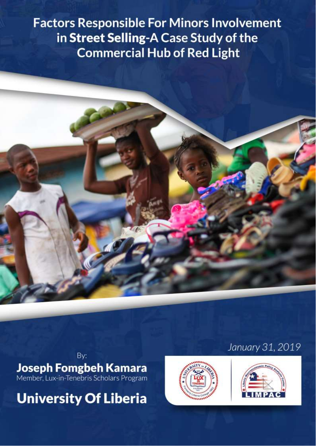**Factors Responsible For Minors Involvement in Street Selling-A Case Study of the Commercial Hub of Red Light** 



By:

**Joseph Fomgbeh Kamara**<br>Member, Lux-in-Tenebris Scholars Program

**University Of Liberia** 



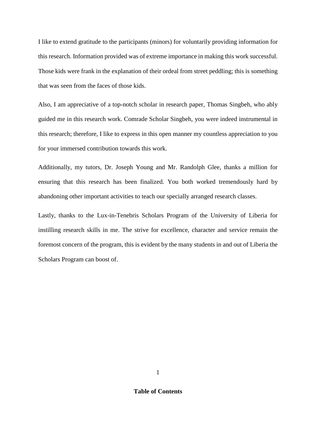I like to extend gratitude to the participants (minors) for voluntarily providing information for this research. Information provided was of extreme importance in making this work successful. Those kids were frank in the explanation of their ordeal from street peddling; this is something that was seen from the faces of those kids.

Also, I am appreciative of a top-notch scholar in research paper, Thomas Singbeh, who ably guided me in this research work. Comrade Scholar Singbeh, you were indeed instrumental in this research; therefore, I like to express in this open manner my countless appreciation to you for your immersed contribution towards this work.

Additionally, my tutors, Dr. Joseph Young and Mr. Randolph Glee, thanks a million for ensuring that this research has been finalized. You both worked tremendously hard by abandoning other important activities to teach our specially arranged research classes.

Lastly, thanks to the Lux-in-Tenebris Scholars Program of the University of Liberia for instilling research skills in me. The strive for excellence, character and service remain the foremost concern of the program, this is evident by the many students in and out of Liberia the Scholars Program can boost of.

**Table of Contents**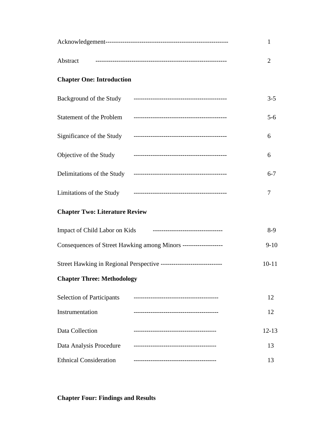|                                                                       |                                    | $\mathbf{1}$ |
|-----------------------------------------------------------------------|------------------------------------|--------------|
|                                                                       |                                    | 2            |
| <b>Chapter One: Introduction</b>                                      |                                    |              |
|                                                                       |                                    | $3 - 5$      |
|                                                                       |                                    | $5 - 6$      |
|                                                                       |                                    | 6            |
|                                                                       | Objective of the Study Figure 2014 | 6            |
|                                                                       |                                    | $6 - 7$      |
|                                                                       |                                    | 7            |
| <b>Chapter Two: Literature Review</b>                                 |                                    |              |
|                                                                       |                                    | $8-9$        |
| Consequences of Street Hawking among Minors -------------------       |                                    |              |
| Street Hawking in Regional Perspective ------------------------------ |                                    | $10 - 11$    |
| <b>Chapter Three: Methodology</b>                                     |                                    |              |
| <b>Selection of Participants</b>                                      |                                    | 12           |
| Instrumentation                                                       |                                    | 12           |
| Data Collection                                                       |                                    | $12 - 13$    |
| Data Analysis Procedure                                               |                                    | 13           |
| <b>Ethnical Consideration</b>                                         |                                    | 13           |

**Chapter Four: Findings and Results**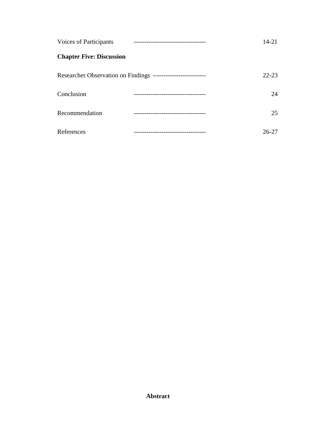| <b>Voices of Participants</b>   |                                                               | 14-21     |
|---------------------------------|---------------------------------------------------------------|-----------|
| <b>Chapter Five: Discussion</b> |                                                               |           |
|                                 | Researcher Observation on Findings -------------------------- | $22 - 23$ |
| Conclusion                      | ------------------------                                      | 24        |
| Recommendation                  |                                                               | 25        |
| References                      | --------------------------                                    | 26-27     |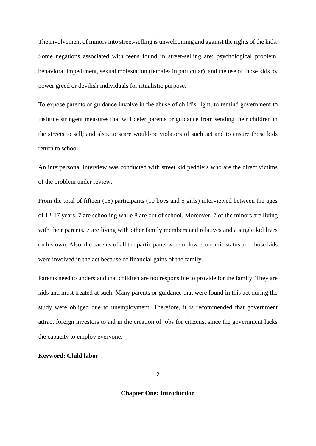The involvement of minors into street-selling is unwelcoming and against the rights of the kids. Some negations associated with teens found in street-selling are: psychological problem, behavioral impediment, sexual molestation (females in particular), and the use of those kids by power greed or devilish individuals for ritualistic purpose.

To expose parents or guidance involve in the abuse of child's right; to remind government to institute stringent measures that will deter parents or guidance from sending their children in the streets to sell; and also, to scare would-be violators of such act and to ensure those kids return to school.

An interpersonal interview was conducted with street kid peddlers who are the direct victims of the problem under review.

From the total of fifteen (15) participants (10 boys and 5 girls) interviewed between the ages of 12-17 years, 7 are schooling while 8 are out of school. Moreover, 7 of the minors are living with their parents, 7 are living with other family members and relatives and a single kid lives on his own. Also, the parents of all the participants were of low economic status and those kids were involved in the act because of financial gains of the family.

Parents need to understand that children are not responsible to provide for the family. They are kids and must treated at such. Many parents or guidance that were found in this act during the study were obliged due to unemployment. Therefore, it is recommended that government attract foreign investors to aid in the creation of jobs for citizens, since the government lacks the capacity to employ everyone.

# **Keyword: Child labor**

# **Chapter One: Introduction**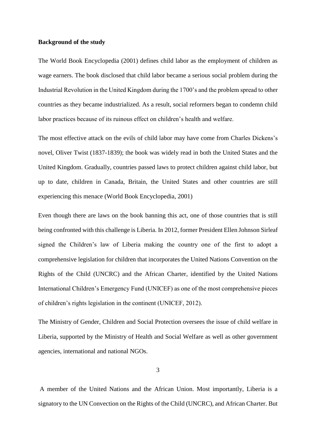## **Background of the study**

The World Book Encyclopedia (2001) defines child labor as the employment of children as wage earners. The book disclosed that child labor became a serious social problem during the Industrial Revolution in the United Kingdom during the 1700's and the problem spread to other countries as they became industrialized. As a result, social reformers began to condemn child labor practices because of its ruinous effect on children's health and welfare.

The most effective attack on the evils of child labor may have come from Charles Dickens's novel, Oliver Twist (1837-1839); the book was widely read in both the United States and the United Kingdom. Gradually, countries passed laws to protect children against child labor, but up to date, children in Canada, Britain, the United States and other countries are still experiencing this menace (World Book Encyclopedia, 2001)

Even though there are laws on the book banning this act, one of those countries that is still being confronted with this challenge is Liberia. In 2012, former President Ellen Johnson Sirleaf signed the Children's law of Liberia making the country one of the first to adopt a comprehensive legislation for children that incorporates the United Nations Convention on the Rights of the Child (UNCRC) and the African Charter, identified by the United Nations International Children's Emergency Fund (UNICEF) as one of the most comprehensive pieces of children's rights legislation in the continent (UNICEF, 2012).

The Ministry of Gender, Children and Social Protection oversees the issue of child welfare in Liberia, supported by the Ministry of Health and Social Welfare as well as other government agencies, international and national NGOs.

3

A member of the United Nations and the African Union. Most importantly, Liberia is a signatory to the UN Convection on the Rights of the Child (UNCRC), and African Charter. But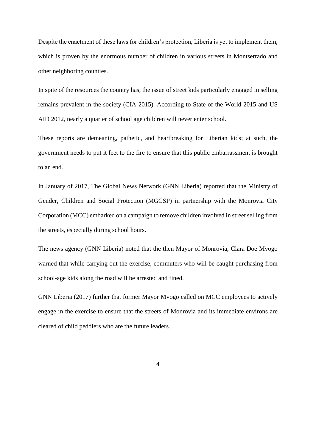Despite the enactment of these laws for children's protection, Liberia is yet to implement them, which is proven by the enormous number of children in various streets in Montserrado and other neighboring counties.

In spite of the resources the country has, the issue of street kids particularly engaged in selling remains prevalent in the society (CIA 2015). According to State of the World 2015 and US AID 2012, nearly a quarter of school age children will never enter school.

These reports are demeaning, pathetic, and heartbreaking for Liberian kids; at such, the government needs to put it feet to the fire to ensure that this public embarrassment is brought to an end.

In January of 2017, The Global News Network (GNN Liberia) reported that the Ministry of Gender, Children and Social Protection (MGCSP) in partnership with the Monrovia City Corporation (MCC) embarked on a campaign to remove children involved in street selling from the streets, especially during school hours.

The news agency (GNN Liberia) noted that the then Mayor of Monrovia, Clara Doe Mvogo warned that while carrying out the exercise, commuters who will be caught purchasing from school-age kids along the road will be arrested and fined.

GNN Liberia (2017) further that former Mayor Mvogo called on MCC employees to actively engage in the exercise to ensure that the streets of Monrovia and its immediate environs are cleared of child peddlers who are the future leaders.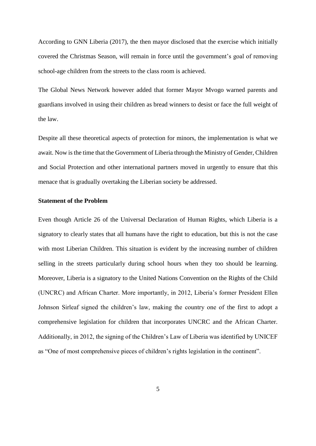According to GNN Liberia (2017), the then mayor disclosed that the exercise which initially covered the Christmas Season, will remain in force until the government's goal of removing school-age children from the streets to the class room is achieved.

The Global News Network however added that former Mayor Mvogo warned parents and guardians involved in using their children as bread winners to desist or face the full weight of the law.

Despite all these theoretical aspects of protection for minors, the implementation is what we await. Now is the time that the Government of Liberia through the Ministry of Gender, Children and Social Protection and other international partners moved in urgently to ensure that this menace that is gradually overtaking the Liberian society be addressed.

### **Statement of the Problem**

Even though Article 26 of the Universal Declaration of Human Rights, which Liberia is a signatory to clearly states that all humans have the right to education, but this is not the case with most Liberian Children. This situation is evident by the increasing number of children selling in the streets particularly during school hours when they too should be learning. Moreover, Liberia is a signatory to the United Nations Convention on the Rights of the Child (UNCRC) and African Charter. More importantly, in 2012, Liberia's former President Ellen Johnson Sirleaf signed the children's law, making the country one of the first to adopt a comprehensive legislation for children that incorporates UNCRC and the African Charter. Additionally, in 2012, the signing of the Children's Law of Liberia was identified by UNICEF as "One of most comprehensive pieces of children's rights legislation in the continent".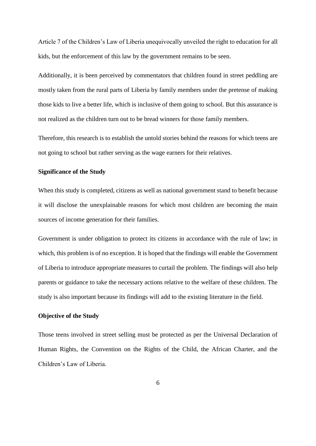Article 7 of the Children's Law of Liberia unequivocally unveiled the right to education for all kids, but the enforcement of this law by the government remains to be seen.

Additionally, it is been perceived by commentators that children found in street peddling are mostly taken from the rural parts of Liberia by family members under the pretense of making those kids to live a better life, which is inclusive of them going to school. But this assurance is not realized as the children turn out to be bread winners for those family members.

Therefore, this research is to establish the untold stories behind the reasons for which teens are not going to school but rather serving as the wage earners for their relatives.

# **Significance of the Study**

When this study is completed, citizens as well as national government stand to benefit because it will disclose the unexplainable reasons for which most children are becoming the main sources of income generation for their families.

Government is under obligation to protect its citizens in accordance with the rule of law; in which, this problem is of no exception. It is hoped that the findings will enable the Government of Liberia to introduce appropriate measures to curtail the problem. The findings will also help parents or guidance to take the necessary actions relative to the welfare of these children. The study is also important because its findings will add to the existing literature in the field.

# **Objective of the Study**

Those teens involved in street selling must be protected as per the Universal Declaration of Human Rights, the Convention on the Rights of the Child, the African Charter, and the Children's Law of Liberia.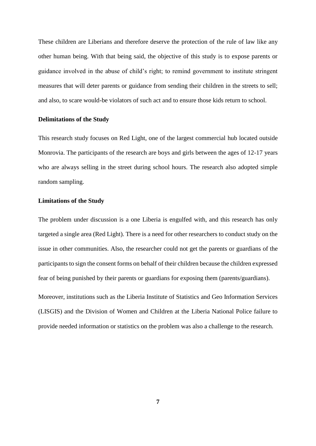These children are Liberians and therefore deserve the protection of the rule of law like any other human being. With that being said, the objective of this study is to expose parents or guidance involved in the abuse of child's right; to remind government to institute stringent measures that will deter parents or guidance from sending their children in the streets to sell; and also, to scare would-be violators of such act and to ensure those kids return to school.

#### **Delimitations of the Study**

This research study focuses on Red Light, one of the largest commercial hub located outside Monrovia. The participants of the research are boys and girls between the ages of 12-17 years who are always selling in the street during school hours. The research also adopted simple random sampling.

### **Limitations of the Study**

The problem under discussion is a one Liberia is engulfed with, and this research has only targeted a single area (Red Light). There is a need for other researchers to conduct study on the issue in other communities. Also, the researcher could not get the parents or guardians of the participants to sign the consent forms on behalf of their children because the children expressed fear of being punished by their parents or guardians for exposing them (parents/guardians).

Moreover, institutions such as the Liberia Institute of Statistics and Geo Information Services (LISGIS) and the Division of Women and Children at the Liberia National Police failure to provide needed information or statistics on the problem was also a challenge to the research.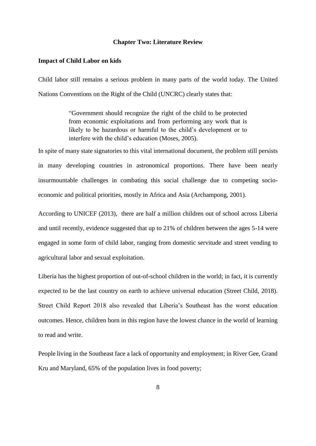#### **Chapter Two: Literature Review**

#### **Impact of Child Labor on kids**

Child labor still remains a serious problem in many parts of the world today. The United Nations Conventions on the Right of the Child (UNCRC) clearly states that:

> "Government should recognize the right of the child to be protected from economic exploitations and from performing any work that is likely to be hazardous or harmful to the child's development or to interfere with the child's education (Moses, 2005).

In spite of many state signatories to this vital international document, the problem still persists in many developing countries in astronomical proportions. There have been nearly insurmountable challenges in combating this social challenge due to competing socioeconomic and political priorities, mostly in Africa and Asia (Archampong, 2001).

According to UNICEF (2013), there are half a million children out of school across Liberia and until recently, evidence suggested that up to 21% of children between the ages 5-14 were engaged in some form of child labor, ranging from domestic servitude and street vending to agricultural labor and sexual exploitation.

Liberia has the highest proportion of out-of-school children in the world; in fact, it is currently expected to be the last country on earth to achieve universal education (Street Child, 2018). Street Child Report 2018 also revealed that Liberia's Southeast has the worst education outcomes. Hence, children born in this region have the lowest chance in the world of learning to read and write.

People living in the Southeast face a lack of opportunity and employment; in River Gee, Grand Kru and Maryland, 65% of the population lives in food poverty;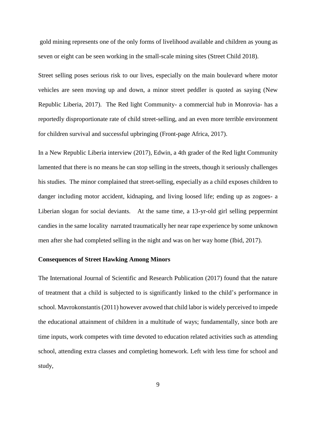gold mining represents one of the only forms of livelihood available and children as young as seven or eight can be seen working in the small-scale mining sites (Street Child 2018).

Street selling poses serious risk to our lives, especially on the main boulevard where motor vehicles are seen moving up and down, a minor street peddler is quoted as saying (New Republic Liberia, 2017). The Red light Community- a commercial hub in Monrovia- has a reportedly disproportionate rate of child street-selling, and an even more terrible environment for children survival and successful upbringing (Front-page Africa, 2017).

In a New Republic Liberia interview (2017), Edwin, a 4th grader of the Red light Community lamented that there is no means he can stop selling in the streets, though it seriously challenges his studies. The minor complained that street-selling, especially as a child exposes children to danger including motor accident, kidnaping, and living loosed life; ending up as zogoes- a Liberian slogan for social deviants. At the same time, a 13-yr-old girl selling peppermint candies in the same locality narrated traumatically her near rape experience by some unknown men after she had completed selling in the night and was on her way home (Ibid, 2017).

### **Consequences of Street Hawking Among Minors**

The International Journal of Scientific and Research Publication (2017) found that the nature of treatment that a child is subjected to is significantly linked to the child's performance in school. Mavrokonstantis (2011) however avowed that child labor is widely perceived to impede the educational attainment of children in a multitude of ways; fundamentally, since both are time inputs, work competes with time devoted to education related activities such as attending school, attending extra classes and completing homework. Left with less time for school and study,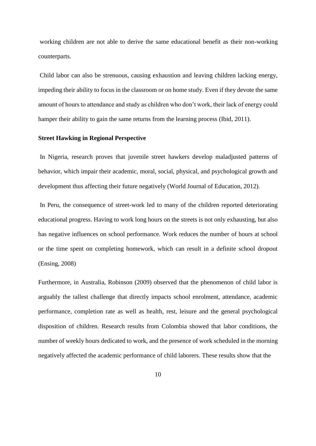working children are not able to derive the same educational benefit as their non-working counterparts.

Child labor can also be strenuous, causing exhaustion and leaving children lacking energy, impeding their ability to focus in the classroom or on home study. Even if they devote the same amount of hours to attendance and study as children who don't work, their lack of energy could hamper their ability to gain the same returns from the learning process (Ibid, 2011).

#### **Street Hawking in Regional Perspective**

In Nigeria, research proves that juvenile street hawkers develop maladjusted patterns of behavior, which impair their academic, moral, social, physical, and psychological growth and development thus affecting their future negatively (World Journal of Education, 2012).

In Peru, the consequence of street-work led to many of the children reported deteriorating educational progress. Having to work long hours on the streets is not only exhausting, but also has negative influences on school performance. Work reduces the number of hours at school or the time spent on completing homework, which can result in a definite school dropout (Ensing, 2008)

Furthermore, in Australia, Robinson (2009) observed that the phenomenon of child labor is arguably the tallest challenge that directly impacts school enrolment, attendance, academic performance, completion rate as well as health, rest, leisure and the general psychological disposition of children. Research results from Colombia showed that labor conditions, the number of weekly hours dedicated to work, and the presence of work scheduled in the morning negatively affected the academic performance of child laborers. These results show that the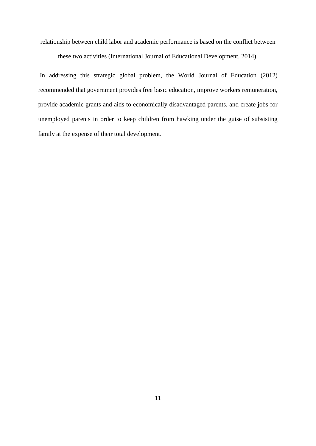relationship between child labor and academic performance is based on the conflict between

these two activities (International Journal of Educational Development, 2014).

In addressing this strategic global problem, the World Journal of Education (2012) recommended that government provides free basic education, improve workers remuneration, provide academic grants and aids to economically disadvantaged parents, and create jobs for unemployed parents in order to keep children from hawking under the guise of subsisting family at the expense of their total development.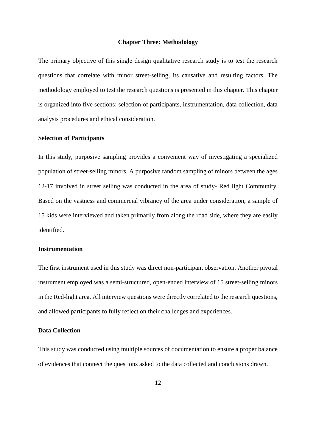#### **Chapter Three: Methodology**

The primary objective of this single design qualitative research study is to test the research questions that correlate with minor street-selling, its causative and resulting factors. The methodology employed to test the research questions is presented in this chapter. This chapter is organized into five sections: selection of participants, instrumentation, data collection, data analysis procedures and ethical consideration.

### **Selection of Participants**

In this study, purposive sampling provides a convenient way of investigating a specialized population of street-selling minors. A purposive random sampling of minors between the ages 12-17 involved in street selling was conducted in the area of study- Red light Community. Based on the vastness and commercial vibrancy of the area under consideration, a sample of 15 kids were interviewed and taken primarily from along the road side, where they are easily identified.

#### **Instrumentation**

The first instrument used in this study was direct non-participant observation. Another pivotal instrument employed was a semi-structured, open-ended interview of 15 street-selling minors in the Red-light area. All interview questions were directly correlated to the research questions, and allowed participants to fully reflect on their challenges and experiences.

# **Data Collection**

This study was conducted using multiple sources of documentation to ensure a proper balance of evidences that connect the questions asked to the data collected and conclusions drawn.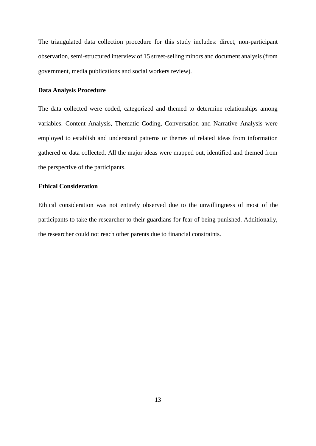The triangulated data collection procedure for this study includes: direct, non-participant observation, semi-structured interview of 15 street-selling minors and document analysis (from government, media publications and social workers review).

# **Data Analysis Procedure**

The data collected were coded, categorized and themed to determine relationships among variables. Content Analysis, Thematic Coding, Conversation and Narrative Analysis were employed to establish and understand patterns or themes of related ideas from information gathered or data collected. All the major ideas were mapped out, identified and themed from the perspective of the participants.

# **Ethical Consideration**

Ethical consideration was not entirely observed due to the unwillingness of most of the participants to take the researcher to their guardians for fear of being punished. Additionally, the researcher could not reach other parents due to financial constraints.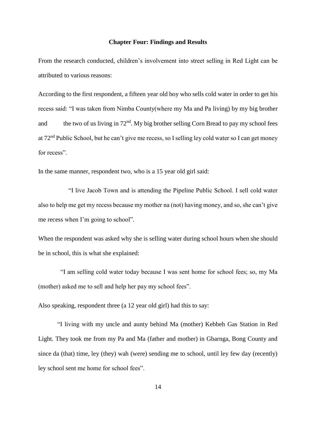#### **Chapter Four: Findings and Results**

From the research conducted, children's involvement into street selling in Red Light can be attributed to various reasons:

According to the first respondent, a fifteen year old boy who sells cold water in order to get his recess said: "I was taken from Nimba County(where my Ma and Pa living) by my big brother and the two of us living in  $72<sup>nd</sup>$ . My big brother selling Corn Bread to pay my school fees at 72<sup>nd</sup> Public School, but he can't give me recess, so I selling ley cold water so I can get money for recess".

In the same manner, respondent two, who is a 15 year old girl said:

 "I live Jacob Town and is attending the Pipeline Public School. I sell cold water also to help me get my recess because my mother na (not) having money, and so, she can't give me recess when I'm going to school".

When the respondent was asked why she is selling water during school hours when she should be in school, this is what she explained:

 "I am selling cold water today because I was sent home for school fees; so, my Ma (mother) asked me to sell and help her pay my school fees".

Also speaking, respondent three (a 12 year old girl) had this to say:

 "I living with my uncle and aunty behind Ma (mother) Kebbeh Gas Station in Red Light. They took me from my Pa and Ma (father and mother) in Gbarnga, Bong County and since da (that) time, ley (they) wah (were) sending me to school, until ley few day (recently) ley school sent me home for school fees".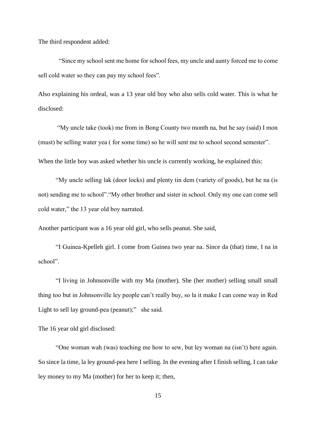The third respondent added:

 "Since my school sent me home for school fees, my uncle and aunty forced me to come sell cold water so they can pay my school fees".

Also explaining his ordeal, was a 13 year old boy who also sells cold water. This is what he disclosed:

 "My uncle take (took) me from in Bong County two month na, but he say (said) I mon (must) be selling water yea ( for some time) so he will sent me to school second semester". When the little boy was asked whether his uncle is currently working, he explained this:

 "My uncle selling lak (door locks) and plenty tin dem (variety of goods), but he na (is not) sending me to school"."My other brother and sister in school. Only my one can come sell cold water," the 13 year old boy narrated.

Another participant was a 16 year old girl, who sells peanut. She said,

 "I Guinea-Kpelleh girl. I come from Guinea two year na. Since da (that) time, I na in school".

 "I living in Johnsonville with my Ma (mother). She (her mother) selling small small thing too but in Johnsonville ley people can't really buy, so la it make I can come way in Red Light to sell lay ground-pea (peanut);" she said.

The 16 year old girl disclosed:

 "One woman wah (was) teaching me how to sew, but ley woman na (isn't) here again. So since la time, la ley ground-pea here I selling. In the evening after I finish selling, I can take ley money to my Ma (mother) for her to keep it; then,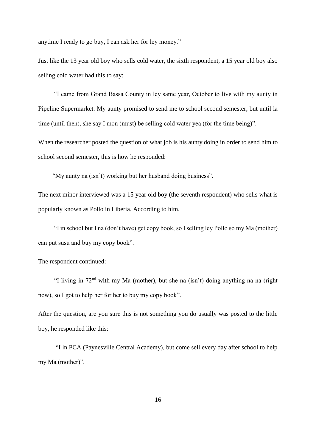anytime I ready to go buy, I can ask her for ley money."

Just like the 13 year old boy who sells cold water, the sixth respondent, a 15 year old boy also selling cold water had this to say:

 "I came from Grand Bassa County in ley same year, October to live with my aunty in Pipeline Supermarket. My aunty promised to send me to school second semester, but until la time (until then), she say I mon (must) be selling cold water yea (for the time being)".

When the researcher posted the question of what job is his aunty doing in order to send him to school second semester, this is how he responded:

"My aunty na (isn't) working but her husband doing business".

The next minor interviewed was a 15 year old boy (the seventh respondent) who sells what is popularly known as Pollo in Liberia. According to him,

 "I in school but I na (don't have) get copy book, so I selling ley Pollo so my Ma (mother) can put susu and buy my copy book".

The respondent continued:

"I living in  $72<sup>nd</sup>$  with my Ma (mother), but she na (isn't) doing anything na na (right now), so I got to help her for her to buy my copy book".

After the question, are you sure this is not something you do usually was posted to the little boy, he responded like this:

 "I in PCA (Paynesville Central Academy), but come sell every day after school to help my Ma (mother)".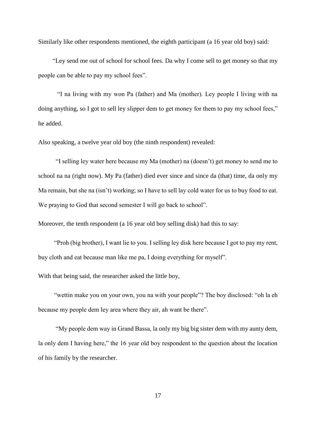Similarly like other respondents mentioned, the eighth participant (a 16 year old boy) said:

 "Ley send me out of school for school fees. Da why I come sell to get money so that my people can be able to pay my school fees".

 "I na living with my won Pa (father) and Ma (mother). Ley people I living with na doing anything, so I got to sell ley slipper dem to get money for them to pay my school fees," he added.

Also speaking, a twelve year old boy (the ninth respondent) revealed:

 "I selling ley water here because my Ma (mother) na (doesn't) get money to send me to school na na (right now). My Pa (father) died ever since and since da (that) time, da only my Ma remain, but she na (isn't) working; so I have to sell lay cold water for us to buy food to eat. We praying to God that second semester I will go back to school".

Moreover, the tenth respondent (a 16 year old boy selling disk) had this to say:

 "Proh (big brother), I want lie to you. I selling ley disk here because I got to pay my rent, buy cloth and eat because man like me pa, I doing everything for myself".

With that being said, the researcher asked the little boy,

 "wettin make you on your own, you na with your people"? The boy disclosed: "oh la eh because my people dem ley area where they air, ah want be there".

 "My people dem way in Grand Bassa, la only my big big sister dem with my aunty dem, la only dem I having here," the 16 year old boy respondent to the question about the location of his family by the researcher.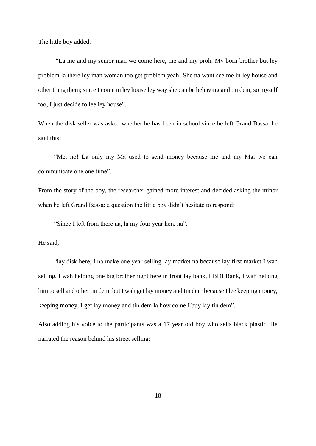The little boy added:

 "La me and my senior man we come here, me and my proh. My born brother but ley problem la there ley man woman too get problem yeah! She na want see me in ley house and other thing them; since I come in ley house ley way she can be behaving and tin dem, so myself too, I just decide to lee ley house".

When the disk seller was asked whether he has been in school since he left Grand Bassa, he said this:

 "Me, no! La only my Ma used to send money because me and my Ma, we can communicate one one time".

From the story of the boy, the researcher gained more interest and decided asking the minor when he left Grand Bassa; a question the little boy didn't hesitate to respond:

"Since I left from there na, la my four year here na".

He said,

 "lay disk here, I na make one year selling lay market na because lay first market I wah selling, I wah helping one big brother right here in front lay bank, LBDI Bank, I wah helping him to sell and other tin dem, but I wah get lay money and tin dem because I lee keeping money, keeping money, I get lay money and tin dem la how come I buy lay tin dem".

Also adding his voice to the participants was a 17 year old boy who sells black plastic. He narrated the reason behind his street selling: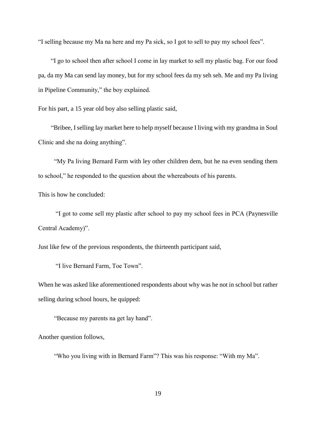"I selling because my Ma na here and my Pa sick, so I got to sell to pay my school fees".

 "I go to school then after school I come in lay market to sell my plastic bag. For our food pa, da my Ma can send lay money, but for my school fees da my seh seh. Me and my Pa living in Pipeline Community," the boy explained.

For his part, a 15 year old boy also selling plastic said,

 "Bribee, I selling lay market here to help myself because I living with my grandma in Soul Clinic and she na doing anything".

 "My Pa living Bernard Farm with ley other children dem, but he na even sending them to school," he responded to the question about the whereabouts of his parents.

This is how he concluded:

 "I got to come sell my plastic after school to pay my school fees in PCA (Paynesville Central Academy)".

Just like few of the previous respondents, the thirteenth participant said,

"I live Bernard Farm, Toe Town".

When he was asked like aforementioned respondents about why was he not in school but rather selling during school hours, he quipped:

"Because my parents na get lay hand".

Another question follows,

"Who you living with in Bernard Farm"? This was his response: "With my Ma".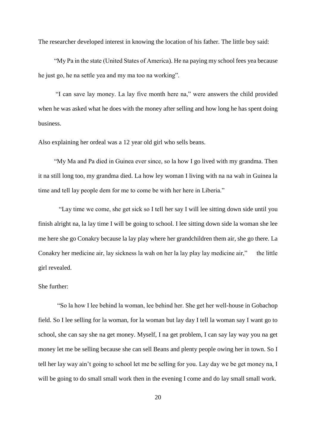The researcher developed interest in knowing the location of his father. The little boy said:

 "My Pa in the state (United States of America). He na paying my school fees yea because he just go, he na settle yea and my ma too na working".

 "I can save lay money. La lay five month here na," were answers the child provided when he was asked what he does with the money after selling and how long he has spent doing business.

Also explaining her ordeal was a 12 year old girl who sells beans.

 "My Ma and Pa died in Guinea ever since, so la how I go lived with my grandma. Then it na still long too, my grandma died. La how ley woman I living with na na wah in Guinea la time and tell lay people dem for me to come be with her here in Liberia."

 "Lay time we come, she get sick so I tell her say I will lee sitting down side until you finish alright na, la lay time I will be going to school. I lee sitting down side la woman she lee me here she go Conakry because la lay play where her grandchildren them air, she go there. La Conakry her medicine air, lay sickness la wah on her la lay play lay medicine air," the little girl revealed.

# She further:

 "So la how I lee behind la woman, lee behind her. She get her well-house in Gobachop field. So I lee selling for la woman, for la woman but lay day I tell la woman say I want go to school, she can say she na get money. Myself, I na get problem, I can say lay way you na get money let me be selling because she can sell Beans and plenty people owing her in town. So I tell her lay way ain't going to school let me be selling for you. Lay day we be get money na, I will be going to do small small work then in the evening I come and do lay small small work.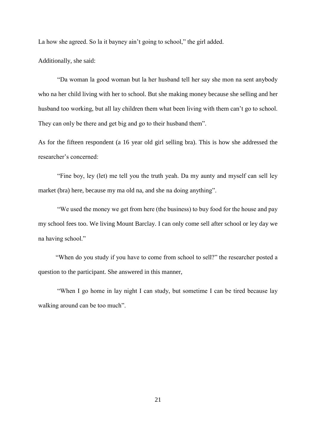La how she agreed. So la it bayney ain't going to school," the girl added.

Additionally, she said:

 "Da woman la good woman but la her husband tell her say she mon na sent anybody who na her child living with her to school. But she making money because she selling and her husband too working, but all lay children them what been living with them can't go to school. They can only be there and get big and go to their husband them".

As for the fifteen respondent (a 16 year old girl selling bra). This is how she addressed the researcher's concerned:

 "Fine boy, ley (let) me tell you the truth yeah. Da my aunty and myself can sell ley market (bra) here, because my ma old na, and she na doing anything".

 "We used the money we get from here (the business) to buy food for the house and pay my school fees too. We living Mount Barclay. I can only come sell after school or ley day we na having school."

 "When do you study if you have to come from school to sell?" the researcher posted a question to the participant. She answered in this manner,

 "When I go home in lay night I can study, but sometime I can be tired because lay walking around can be too much".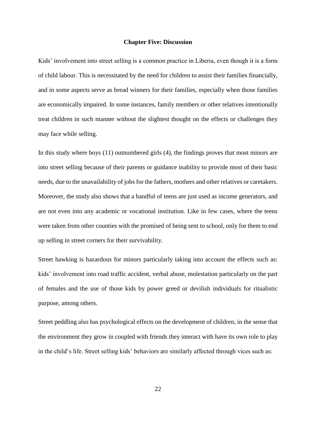#### **Chapter Five: Discussion**

Kids' involvement into street selling is a common practice in Liberia, even though it is a form of child labour. This is necessitated by the need for children to assist their families financially, and in some aspects serve as bread winners for their families, especially when those families are economically impaired. In some instances, family members or other relatives intentionally treat children in such manner without the slightest thought on the effects or challenges they may face while selling.

In this study where boys (11) outnumbered girls (4), the findings proves that most minors are into street selling because of their parents or guidance inability to provide most of their basic needs, due to the unavailability of jobs for the fathers, mothers and other relatives or caretakers. Moreover, the study also shows that a handful of teens are just used as income generators, and are not even into any academic or vocational institution. Like in few cases, where the teens were taken from other counties with the promised of being sent to school, only for them to end up selling in street corners for their survivability.

Street hawking is hazardous for minors particularly taking into account the effects such as: kids' involvement into road traffic accident, verbal abuse, molestation particularly on the part of females and the use of those kids by power greed or devilish individuals for ritualistic purpose, among others.

Street peddling also has psychological effects on the development of children, in the sense that the environment they grow in coupled with friends they interact with have its own role to play in the child's life. Street selling kids' behaviors are similarly affected through vices such as: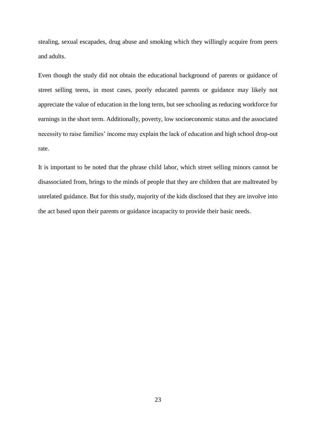stealing, sexual escapades, drug abuse and smoking which they willingly acquire from peers and adults.

Even though the study did not obtain the educational background of parents or guidance of street selling teens, in most cases, poorly educated parents or guidance may likely not appreciate the value of education in the long term, but see schooling as reducing workforce for earnings in the short term. Additionally, poverty, low socioeconomic status and the associated necessity to raise families' income may explain the lack of education and high school drop-out rate.

It is important to be noted that the phrase child labor, which street selling minors cannot be disassociated from, brings to the minds of people that they are children that are maltreated by unrelated guidance. But for this study, majority of the kids disclosed that they are involve into the act based upon their parents or guidance incapacity to provide their basic needs.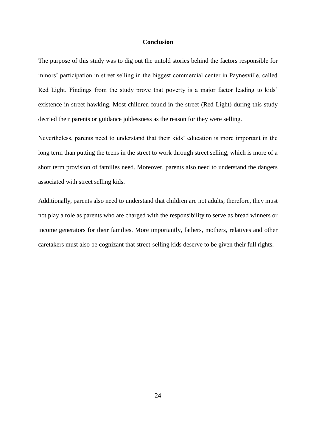#### **Conclusion**

The purpose of this study was to dig out the untold stories behind the factors responsible for minors' participation in street selling in the biggest commercial center in Paynesville, called Red Light. Findings from the study prove that poverty is a major factor leading to kids' existence in street hawking. Most children found in the street (Red Light) during this study decried their parents or guidance joblessness as the reason for they were selling.

Nevertheless, parents need to understand that their kids' education is more important in the long term than putting the teens in the street to work through street selling, which is more of a short term provision of families need. Moreover, parents also need to understand the dangers associated with street selling kids.

Additionally, parents also need to understand that children are not adults; therefore, they must not play a role as parents who are charged with the responsibility to serve as bread winners or income generators for their families. More importantly, fathers, mothers, relatives and other caretakers must also be cognizant that street-selling kids deserve to be given their full rights.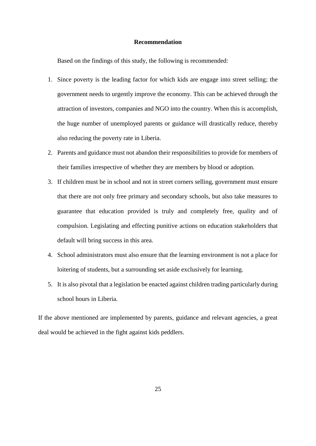## **Recommendation**

Based on the findings of this study, the following is recommended:

- 1. Since poverty is the leading factor for which kids are engage into street selling; the government needs to urgently improve the economy. This can be achieved through the attraction of investors, companies and NGO into the country. When this is accomplish, the huge number of unemployed parents or guidance will drastically reduce, thereby also reducing the poverty rate in Liberia.
- 2. Parents and guidance must not abandon their responsibilities to provide for members of their families irrespective of whether they are members by blood or adoption.
- 3. If children must be in school and not in street corners selling, government must ensure that there are not only free primary and secondary schools, but also take measures to guarantee that education provided is truly and completely free, quality and of compulsion. Legislating and effecting punitive actions on education stakeholders that default will bring success in this area.
- 4. School administrators must also ensure that the learning environment is not a place for loitering of students, but a surrounding set aside exclusively for learning.
- 5. It is also pivotal that a legislation be enacted against children trading particularly during school hours in Liberia.

If the above mentioned are implemented by parents, guidance and relevant agencies, a great deal would be achieved in the fight against kids peddlers.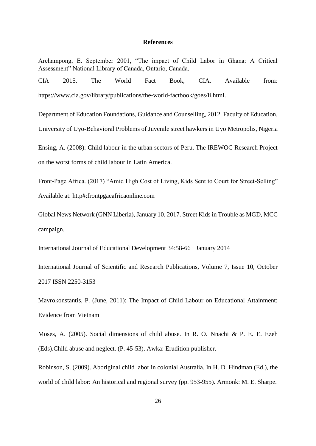#### **References**

Archampong, E. September 2001, "The impact of Child Labor in Ghana: A Critical Assessment" National Library of Canada, Ontario, Canada.

CIA 2015. The World Fact Book, CIA. Available from: https://www.cia.gov/library/publications/the-world-factbook/goes/li.html.

Department of Education Foundations, Guidance and Counselling, 2012. Faculty of Education, University of Uyo-Behavioral Problems of Juvenile street hawkers in Uyo Metropolis, Nigeria Ensing, A. (2008): Child labour in the urban sectors of Peru. The IREWOC Research Project on the worst forms of child labour in Latin America.

Front-Page Africa. (2017) "Amid High Cost of Living, Kids Sent to Court for Street-Selling" Available at: http#:frontpgaeafricaonline.com

Global News Network (GNN Liberia), January 10, 2017. Street Kids in Trouble as MGD, MCC campaign.

International Journal of Educational Development 34:58-66 · January 2014

International Journal of Scientific and Research Publications, Volume 7, Issue 10, October 2017 ISSN 2250-3153

Mavrokonstantis, P. (June, 2011): The Impact of Child Labour on Educational Attainment: Evidence from Vietnam

Moses, A. (2005). Social dimensions of child abuse. In R. O. Nnachi & P. E. E. Ezeh (Eds).Child abuse and neglect. (P. 45-53). Awka: Erudition publisher.

Robinson, S. (2009). Aboriginal child labor in colonial Australia. In H. D. Hindman (Ed.), the world of child labor: An historical and regional survey (pp. 953-955). Armonk: M. E. Sharpe.